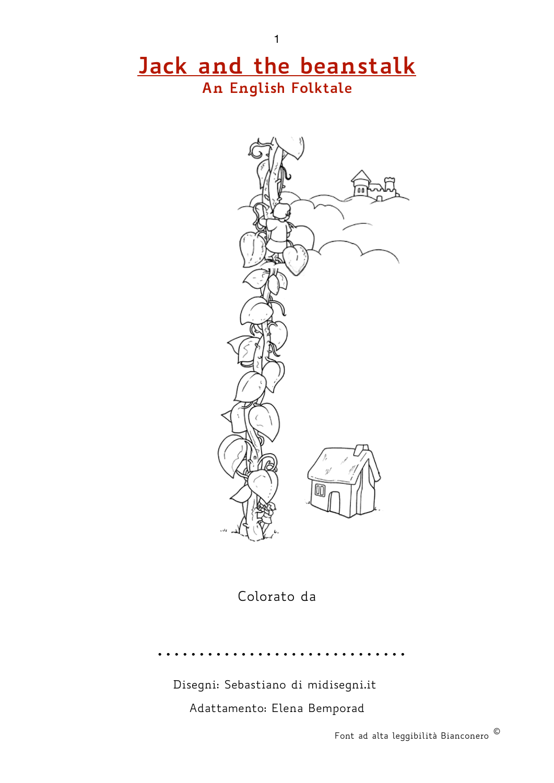## **Jack and the beanstalk An English Folktale**

1



Colorato da

Disegni: Sebastiano di midisegni.it Adattamento: Elena Bemporad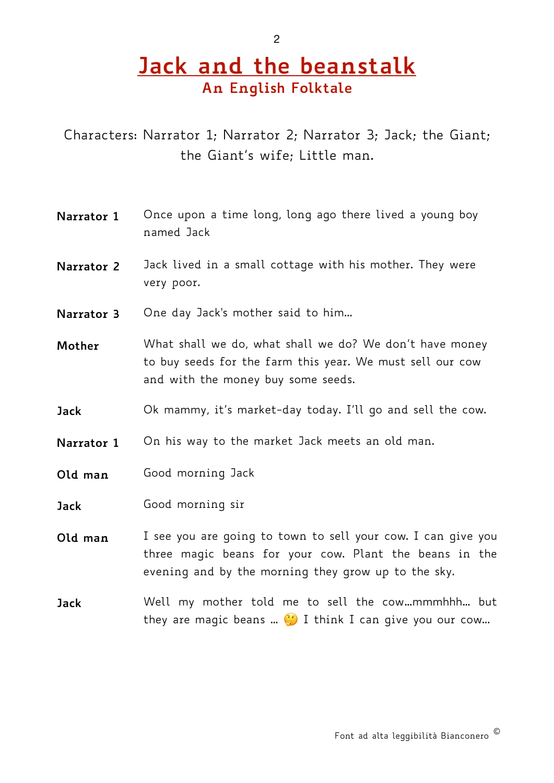## **Jack and the beanstalk An English Folktale**

Characters: Narrator 1; Narrator 2; Narrator 3; Jack; the Giant; the Giant's wife; Little man.

- **Narrator 1** Once upon a time long, long ago there lived a young boy named Jack
- **Narrator 2** Jack lived in a small cottage with his mother. They were very poor.
- **Narrator 3** One day Jack's mother said to him...
- **Mother** What shall we do, what shall we do? We don't have money to buy seeds for the farm this year. We must sell our cow and with the money buy some seeds.
- **Jack** Ok mammy, it's market-day today. I'll go and sell the cow.
- **Narrator 1** On his way to the market Jack meets an old man.
- **Old man** Good morning Jack
- **Jack** Good morning sir
- **Old man** I see you are going to town to sell your cow. I can give you three magic beans for your cow. Plant the beans in the evening and by the morning they grow up to the sky.
- **Jack** Well my mother told me to sell the cow…mmmhhh… but they are magic beans ...  $\ddot{P}$  I think I can give you our cow...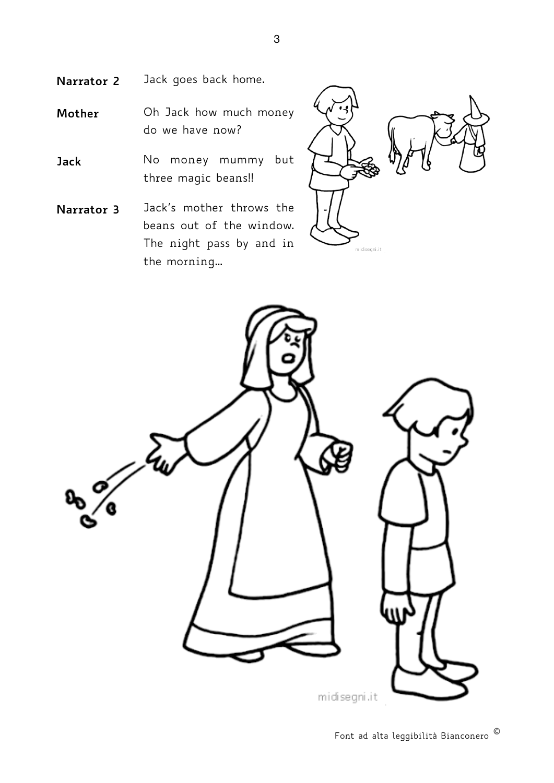- **Narrator 2** Jack goes back home.
- **Mother** Oh Jack how much money do we have now?
- **Jack** No money mummy but three magic beans!!
- **Narrator 3** Jack's mother throws the beans out of the window. The night pass by and in the morning…



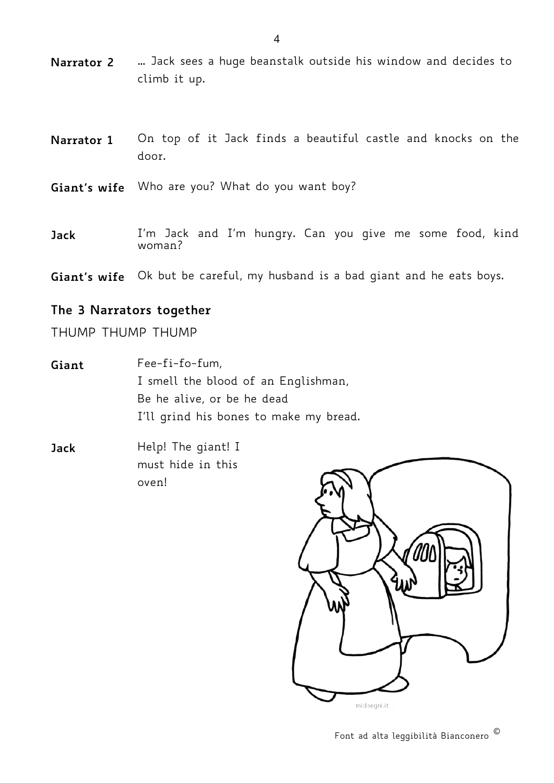- **Narrator 2** … Jack sees a huge beanstalk outside his window and decides to climb it up.
- **Narrator 1** On top of it Jack finds a beautiful castle and knocks on the door.
- **Giant's wife** Who are you? What do you want boy?
- **Jack** I'm Jack and I'm hungry. Can you give me some food, kind woman?
- **Giant's wife** Ok but be careful, my husband is a bad giant and he eats boys.

## **The 3 Narrators together**

THUMP THUMP THUMP

- **Giant** Fee-fi-fo-fum, I smell the blood of an Englishman, Be he alive, or be he dead I'll grind his bones to make my bread.
- **Jack** Help! The giant! I must hide in this oven!

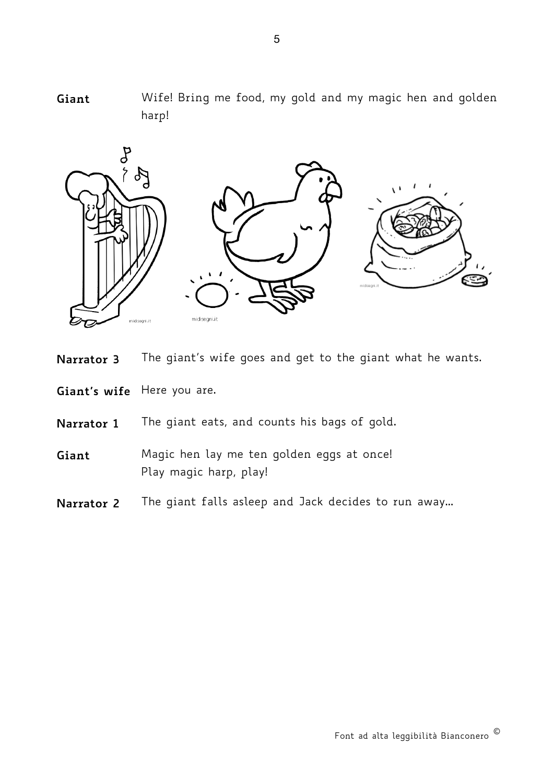





**Giant's wife** Here you are.

**Narrator 1** The giant eats, and counts his bags of gold.

**Giant** Magic hen lay me ten golden eggs at once! Play magic harp, play!

**Narrator 2** The giant falls asleep and Jack decides to run away...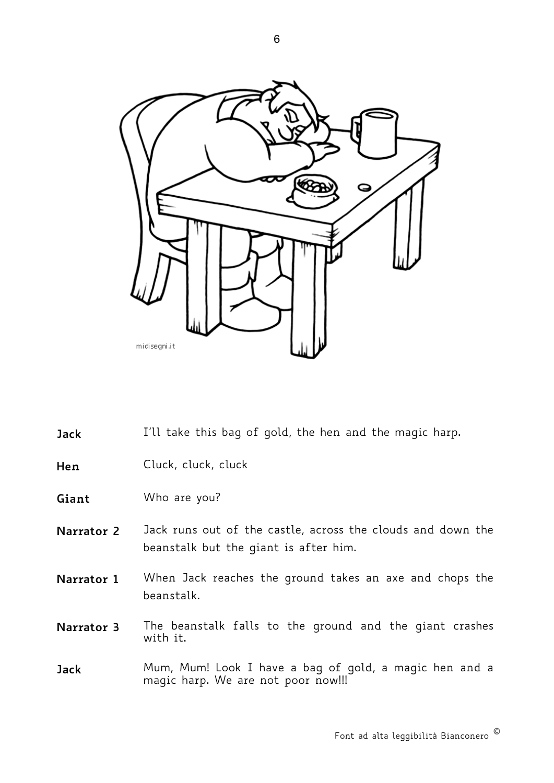

**Jack** I'll take this bag of gold, the hen and the magic harp.

**Hen** Cluck, cluck, cluck

**Giant** Who are you?

- **Narrator 2** Jack runs out of the castle, across the clouds and down the beanstalk but the giant is after him.
- **Narrator 1** When Jack reaches the ground takes an axe and chops the beanstalk.
- **Narrator 3** The beanstalk falls to the ground and the giant crashes with it.
- **Jack** Mum, Mum! Look I have a bag of gold, a magic hen and a magic harp. We are not poor now!!!